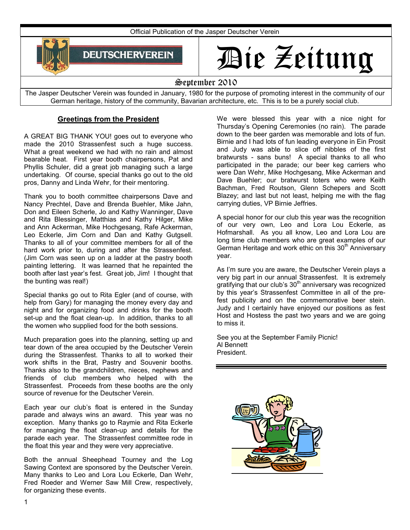

# Die Zeitung

#### September 2010

The Jasper Deutscher Verein was founded in January, 1980 for the purpose of promoting interest in the community of our German heritage, history of the community, Bavarian architecture, etc. This is to be a purely social club.

#### **Greetings from the President**

A GREAT BIG THANK YOU! goes out to everyone who made the 2010 Strassenfest such a huge success. What a great weekend we had with no rain and almost bearable heat. First year booth chairpersons, Pat and Phyllis Schuler, did a great job managing such a large undertaking. Of course, special thanks go out to the old pros, Danny and Linda Wehr, for their mentoring.

Thank you to booth committee chairpersons Dave and Nancy Prechtel, Dave and Brenda Buehler, Mike Jahn, Don and Eileen Scherle, Jo and Kathy Wanninger, Dave and Rita Blessinger, Matthias and Kathy Hilger, Mike and Ann Ackerman, Mike Hochgesang, Rafe Ackerman, Leo Eckerle, Jim Corn and Dan and Kathy Gutgsell. Thanks to all of your committee members for all of the hard work prior to, during and after the Strassenfest. (Jim Corn was seen up on a ladder at the pastry booth painting lettering. It was learned that he repainted the booth after last year's fest. Great job, Jim! I thought that the bunting was real!)

Special thanks go out to Rita Egler (and of course, with help from Gary) for managing the money every day and night and for organizing food and drinks for the booth set-up and the float clean-up. In addition, thanks to all the women who supplied food for the both sessions.

Much preparation goes into the planning, setting up and tear down of the area occupied by the Deutscher Verein during the Strassenfest. Thanks to all to worked their work shifts in the Brat, Pastry and Souvenir booths. Thanks also to the grandchildren, nieces, nephews and friends of club members who helped with the Strassenfest. Proceeds from these booths are the only source of revenue for the Deutscher Verein.

Each year our club's float is entered in the Sunday parade and always wins an award. This year was no exception. Many thanks go to Raymie and Rita Eckerle for managing the float clean-up and details for the parade each year. The Strassenfest committee rode in the float this year and they were very appreciative.

Both the annual Sheephead Tourney and the Log Sawing Context are sponsored by the Deutscher Verein. Many thanks to Leo and Lora Lou Eckerle, Dan Wehr, Fred Roeder and Werner Saw Mill Crew, respectively, for organizing these events.

We were blessed this year with a nice night for Thursday's Opening Ceremonies (no rain). The parade down to the beer garden was memorable and lots of fun. Birnie and I had lots of fun leading everyone in Ein Prosit and Judy was able to slice off nibbles of the first bratwursts - sans buns! A special thanks to all who participated in the parade; our beer keg carriers who were Dan Wehr, Mike Hochgesang, Mike Ackerman and Dave Buehler; our bratwurst toters who were Keith Bachman, Fred Routson, Glenn Schepers and Scott Blazey; and last but not least, helping me with the flag carrying duties, VP Birnie Jeffries.

A special honor for our club this year was the recognition of our very own, Leo and Lora Lou Eckerle, as Hofmarshall. As you all know, Leo and Lora Lou are long time club members who are great examples of our German Heritage and work ethic on this  $30<sup>th</sup>$  Anniversary year.

As I'm sure you are aware, the Deutscher Verein plays a very big part in our annual Strassenfest. It is extremely gratifying that our club's 30<sup>th</sup> anniversary was recognized by this year's Strassenfest Committee in all of the prefest publicity and on the commemorative beer stein. Judy and I certainly have enjoyed our positions as fest Host and Hostess the past two years and we are going to miss it.

See you at the September Family Picnic! Al Bennett President.

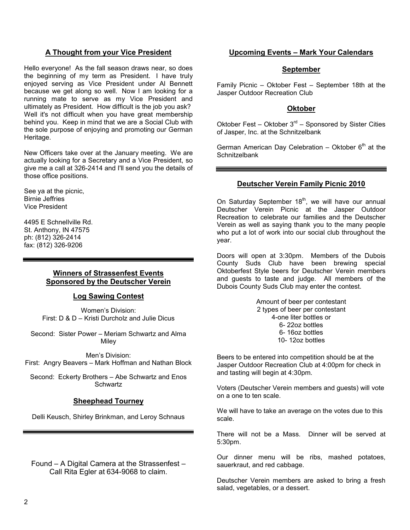#### **A Thought from your Vice President**

Hello everyone! As the fall season draws near, so does the beginning of my term as President. I have truly enjoyed serving as Vice President under Al Bennett because we get along so well. Now I am looking for a running mate to serve as my Vice President and ultimately as President. How difficult is the job you ask? Well it's not difficult when you have great membership behind you. Keep in mind that we are a Social Club with the sole purpose of enjoying and promoting our German Heritage.

New Officers take over at the January meeting. We are actually looking for a Secretary and a Vice President, so give me a call at 326-2414 and I'll send you the details of those office positions.

See ya at the picnic, Birnie Jeffries Vice President

4495 E Schnellville Rd. St. Anthony, IN 47575 ph: (812) 326-2414 fax: (812) 326-9206

#### **Winners of Strassenfest Events Sponsored by the Deutscher Verein**

#### **Log Sawing Contest**

Women's Division: First: D & D – Kristi Durcholz and Julie Dicus

Second: Sister Power – Meriam Schwartz and Alma **Milev** 

Men's Division: First: Angry Beavers – Mark Hoffman and Nathan Block

Second: Eckerty Brothers – Abe Schwartz and Enos **Schwartz** 

#### **Sheephead Tourney**

Delli Keusch, Shirley Brinkman, and Leroy Schnaus

Found – A Digital Camera at the Strassenfest – Call Rita Egler at 634-9068 to claim.

#### **Upcoming Events – Mark Your Calendars**

#### **September**

Family Picnic – Oktober Fest – September 18th at the Jasper Outdoor Recreation Club

#### **Oktober**

Oktober Fest – Oktober  $3<sup>rd</sup>$  – Sponsored by Sister Cities of Jasper, Inc. at the Schnitzelbank

German American Day Celebration  $-$  Oktober  $6<sup>th</sup>$  at the **Schnitzelbank** 

#### **Deutscher Verein Family Picnic 2010**

On Saturday September  $18<sup>th</sup>$ , we will have our annual Deutscher Verein Picnic at the Jasper Outdoor Recreation to celebrate our families and the Deutscher Verein as well as saying thank you to the many people who put a lot of work into our social club throughout the year.

Doors will open at 3:30pm. Members of the Dubois County Suds Club have been brewing special Oktoberfest Style beers for Deutscher Verein members and guests to taste and judge. All members of the Dubois County Suds Club may enter the contest.

> Amount of beer per contestant 2 types of beer per contestant 4-one liter bottles or 6- 22oz bottles 6- 16oz bottles 10- 12oz bottles

Beers to be entered into competition should be at the Jasper Outdoor Recreation Club at 4:00pm for check in and tasting will begin at 4:30pm.

Voters (Deutscher Verein members and guests) will vote on a one to ten scale.

We will have to take an average on the votes due to this scale.

There will not be a Mass. Dinner will be served at 5:30pm.

Our dinner menu will be ribs, mashed potatoes, sauerkraut, and red cabbage.

Deutscher Verein members are asked to bring a fresh salad, vegetables, or a dessert.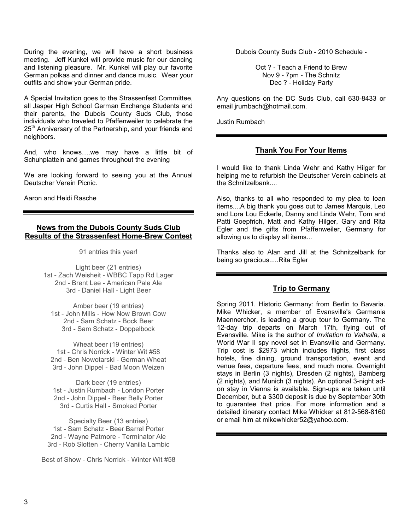During the evening, we will have a short business meeting. Jeff Kunkel will provide music for our dancing and listening pleasure. Mr. Kunkel will play our favorite German polkas and dinner and dance music. Wear your outfits and show your German pride.

A Special Invitation goes to the Strassenfest Committee, all Jasper High School German Exchange Students and their parents, the Dubois County Suds Club, those individuals who traveled to Pfaffenweiler to celebrate the 25<sup>th</sup> Anniversary of the Partnership, and your friends and neighbors.

And, who knows….we may have a little bit of Schuhplattein and games throughout the evening

We are looking forward to seeing you at the Annual Deutscher Verein Picnic.

Aaron and Heidi Rasche

#### **News from the Dubois County Suds Club Results of the Strassenfest Home-Brew Contest**

91 entries this year!

Light beer (21 entries) 1st - Zach Weisheit - WBBC Tapp Rd Lager 2nd - Brent Lee - American Pale Ale 3rd - Daniel Hall - Light Beer

Amber beer (19 entries) 1st - John Mills - How Now Brown Cow 2nd - Sam Schatz - Bock Beer 3rd - Sam Schatz - Doppelbock

Wheat beer (19 entries) 1st - Chris Norrick - Winter Wit #58 2nd - Ben Nowotarski - German Wheat 3rd - John Dippel - Bad Moon Weizen

Dark beer (19 entries) 1st - Justin Rumbach - London Porter 2nd - John Dippel - Beer Belly Porter 3rd - Curtis Hall - Smoked Porter

Specialty Beer (13 entries) 1st - Sam Schatz - Beer Barrel Porter 2nd - Wayne Patmore - Terminator Ale 3rd - Rob Slotten - Cherry Vanilla Lambic

Best of Show - Chris Norrick - Winter Wit #58

Dubois County Suds Club - 2010 Schedule -

Oct ? - Teach a Friend to Brew Nov 9 - 7pm - The Schnitz Dec ? - Holiday Party

Any questions on the DC Suds Club, call 630-8433 or email jrumbach@hotmail.com.

Justin Rumbach

#### **Thank You For Your Items**

I would like to thank Linda Wehr and Kathy Hilger for helping me to refurbish the Deutscher Verein cabinets at the Schnitzelbank....

Also, thanks to all who responded to my plea to loan items....A big thank you goes out to James Marquis, Leo and Lora Lou Eckerle, Danny and Linda Wehr, Tom and Patti Goepfrich, Matt and Kathy Hilger, Gary and Rita Egler and the gifts from Pfaffenweiler, Germany for allowing us to display all items...

Thanks also to Alan and Jill at the Schnitzelbank for being so gracious.....Rita Egler

#### **Trip to Germany**

Spring 2011. Historic Germany: from Berlin to Bavaria. Mike Whicker, a member of Evansville's Germania Maennerchor, is leading a group tour to Germany. The 12-day trip departs on March 17th, flying out of Evansville. Mike is the author of *Invitation to Valhalla,* a World War II spy novel set in Evansville and Germany. Trip cost is \$2973 which includes flights, first class hotels, fine dining, ground transportation, event and venue fees, departure fees, and much more. Overnight stays in Berlin (3 nights), Dresden (2 nights), Bamberg (2 nights), and Munich (3 nights). An optional 3-night adon stay in Vienna is available. Sign-ups are taken until December, but a \$300 deposit is due by September 30th to guarantee that price. For more information and a detailed itinerary contact Mike Whicker at 812-568-8160 or email him at mikewhicker52@yahoo.com.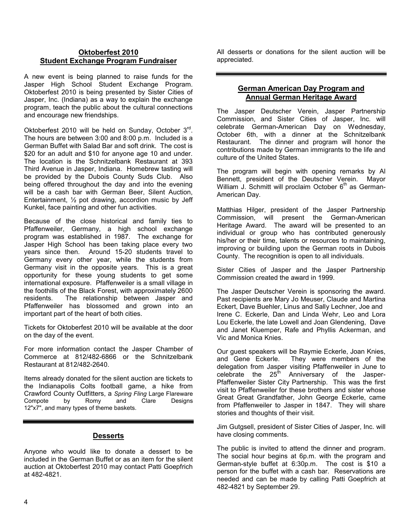#### **Oktoberfest 2010 Student Exchange Program Fundraiser**

A new event is being planned to raise funds for the Jasper High School Student Exchange Program. Oktoberfest 2010 is being presented by Sister Cities of Jasper, Inc. (Indiana) as a way to explain the exchange program, teach the public about the cultural connections and encourage new friendships.

Oktoberfest 2010 will be held on Sunday, October 3<sup>rd</sup>. The hours are between 3:00 and 8:00 p.m. Included is a German Buffet with Salad Bar and soft drink. The cost is \$20 for an adult and \$10 for anyone age 10 and under. The location is the Schnitzelbank Restaurant at 393 Third Avenue in Jasper, Indiana. Homebrew tasting will be provided by the Dubois County Suds Club. Also being offered throughout the day and into the evening will be a cash bar with German Beer, Silent Auction, Entertainment, ½ pot drawing, accordion music by Jeff Kunkel, face painting and other fun activities.

Because of the close historical and family ties to Pfaffenweiler, Germany, a high school exchange program was established in 1987. The exchange for Jasper High School has been taking place every two years since then. Around 15-20 students travel to Germany every other year, while the students from Germany visit in the opposite years. This is a great opportunity for these young students to get some international exposure. Pfaffenweiler is a small village in the foothills of the Black Forest, with approximately 2600 residents. The relationship between Jasper and Pfaffenweiler has blossomed and grown into an important part of the heart of both cities.

Tickets for Oktoberfest 2010 will be available at the door on the day of the event.

For more information contact the Jasper Chamber of Commerce at 812/482-6866 or the Schnitzelbank Restaurant at 812/482-2640.

Items already donated for the silent auction are tickets to the Indianapolis Colts football game, a hike from Crawford County Outfitters, a *Spring Fling* Large Flareware Compote by Romy and Clare Designs 12"x7", and many types of theme baskets.

#### **Desserts**

Anyone who would like to donate a dessert to be included in the German Buffet or as an item for the silent auction at Oktoberfest 2010 may contact Patti Goepfrich at 482-4821.

All desserts or donations for the silent auction will be appreciated.

#### **German American Day Program and Annual German Heritage Award**

The Jasper Deutscher Verein, Jasper Partnership Commission, and Sister Cities of Jasper, Inc. will celebrate German-American Day on Wednesday, October 6th, with a dinner at the Schnitzelbank Restaurant. The dinner and program will honor the contributions made by German immigrants to the life and culture of the United States.

The program will begin with opening remarks by Al Bennett, president of the Deutscher Verein. Mayor William J. Schmitt will proclaim October  $6<sup>th</sup>$  as German-American Day.

Matthias Hilger, president of the Jasper Partnership Commission, will present the German-American Heritage Award. The award will be presented to an individual or group who has contributed generously his/her or their time, talents or resources to maintaining, improving or building upon the German roots in Dubois County. The recognition is open to all individuals.

Sister Cities of Jasper and the Jasper Partnership Commission created the award in 1999.

The Jasper Deutscher Verein is sponsoring the award. Past recipients are Mary Jo Meuser, Claude and Martina Eckert, Dave Buehler, Linus and Sally Lechner, Joe and Irene C. Eckerle, Dan and Linda Wehr, Leo and Lora Lou Eckerle, the late Lowell and Joan Glendening, Dave and Janet Kluemper, Rafe and Phyllis Ackerman, and Vic and Monica Knies.

Our guest speakers will be Raymie Eckerle, Joan Knies, and Gene Eckerle. They were members of the delegation from Jasper visiting Pfaffenweiler in June to celebrate the 25<sup>th</sup> Anniversary of the Jasper-Pfaffenweiler Sister City Partnership. This was the first visit to Pfaffenweiler for these brothers and sister whose Great Great Grandfather, John George Eckerle, came from Pfaffenweiler to Jasper in 1847. They will share stories and thoughts of their visit.

Jim Gutgsell, president of Sister Cities of Jasper, Inc. will have closing comments.

The public is invited to attend the dinner and program. The social hour begins at 6p.m. with the program and German-style buffet at 6:30p.m. The cost is \$10 a person for the buffet with a cash bar. Reservations are needed and can be made by calling Patti Goepfrich at 482-4821 by September 29.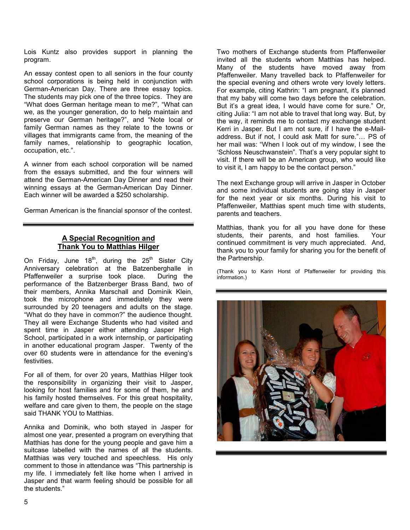Lois Kuntz also provides support in planning the program.

An essay contest open to all seniors in the four county school corporations is being held in conjunction with German-American Day. There are three essay topics. The students may pick one of the three topics. They are "What does German heritage mean to me?", "What can we, as the younger generation, do to help maintain and preserve our German heritage?", and "Note local or family German names as they relate to the towns or villages that immigrants came from, the meaning of the family names, relationship to geographic location, occupation, etc.".

A winner from each school corporation will be named from the essays submitted, and the four winners will attend the German-American Day Dinner and read their winning essays at the German-American Day Dinner. Each winner will be awarded a \$250 scholarship.

German American is the financial sponsor of the contest.

#### **A Special Recognition and Thank You to Matthias Hilger**

On Friday, June 18<sup>th</sup>, during the  $25<sup>th</sup>$  Sister City Anniversary celebration at the Batzenberghalle in Pfaffenweiler a surprise took place. During the performance of the Batzenberger Brass Band, two of their members, Annika Marschall and Dominik Klein, took the microphone and immediately they were surrounded by 20 teenagers and adults on the stage. "What do they have in common?" the audience thought. They all were Exchange Students who had visited and spent time in Jasper either attending Jasper High School, participated in a work internship, or participating in another educational program Jasper. Twenty of the over 60 students were in attendance for the evening's festivities.

For all of them, for over 20 years, Matthias Hilger took the responsibility in organizing their visit to Jasper, looking for host families and for some of them, he and his family hosted themselves. For this great hospitality, welfare and care given to them, the people on the stage said THANK YOU to Matthias.

Annika and Dominik, who both stayed in Jasper for almost one year, presented a program on everything that Matthias has done for the young people and gave him a suitcase labelled with the names of all the students. Matthias was very touched and speechless. His only comment to those in attendance was "This partnership is my life. I immediately felt like home when I arrived in Jasper and that warm feeling should be possible for all the students."

Two mothers of Exchange students from Pfaffenweiler invited all the students whom Matthias has helped. Many of the students have moved away from Pfaffenweiler. Many travelled back to Pfaffenweiler for the special evening and others wrote very lovely letters. For example, citing Kathrin: "I am pregnant, it's planned that my baby will come two days before the celebration. But it's a great idea, I would have come for sure." Or, citing Julia: "I am not able to travel that long way. But, by the way, it reminds me to contact my exchange student Kerri in Jasper. But I am not sure, if I have the e-Mailaddress. But if not, I could ask Matt for sure."… PS of her mail was: "When I look out of my window, I see the 'Schloss Neuschwanstein". That's a very popular sight to visit. If there will be an American group, who would like to visit it, I am happy to be the contact person."

The next Exchange group will arrive in Jasper in October and some individual students are going stay in Jasper for the next year or six months. During his visit to Pfaffenweiler, Matthias spent much time with students, parents and teachers.

Matthias, thank you for all you have done for these students, their parents, and host families. Your continued commitment is very much appreciated. And, thank you to your family for sharing you for the benefit of the Partnership.

(Thank you to Karin Horst of Pfaffenweiler for providing this information.)

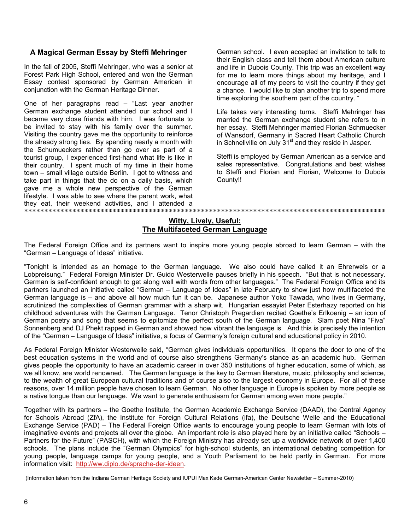#### **A Magical German Essay by Steffi Mehringer**

In the fall of 2005, Steffi Mehringer, who was a senior at Forest Park High School, entered and won the German Essay contest sponsored by German American in conjunction with the German Heritage Dinner.

One of her paragraphs read – "Last year another German exchange student attended our school and I became very close friends with him. I was fortunate to be invited to stay with his family over the summer. Visiting the country gave me the opportunity to reinforce the already strong ties. By spending nearly a month with the Schumueckers rather than go over as part of a tourist group, I experienced first-hand what life is like in their country. I spent much of my time in their home town – small village outside Berlin. I got to witness and take part in things that the do on a daily basis, which gave me a whole new perspective of the German lifestyle. I was able to see where the parent work, what they eat, their weekend activities, and I attended a \*\*\*\*\*\*\*\*\*\*\*\*\*\*\*\*\*\*\*\*\*\*\*\*\*\*\*\*\*\*\*\*\*\*\*\*\*\*\*\*\*\*\*\*\*\*\*\*\*\*\*\*\*\*\*\*\*\*\*\*\*\*\*\*\*\*\*\*\*\*\*\*\*\*\*\*\*\*\*\*\*\*\*\*\*\*\*\*\*\*

German school. I even accepted an invitation to talk to their English class and tell them about American culture and life in Dubois County. This trip was an excellent way for me to learn more things about my heritage, and I encourage all of my peers to visit the country if they get a chance. I would like to plan another trip to spend more time exploring the southern part of the country. "

Life takes very interesting turns. Steffi Mehringer has married the German exchange student she refers to in her essay. Steffi Mehringer married Florian Schmuecker of Wansdorf, Germany in Sacred Heart Catholic Church in Schnellville on July  $31<sup>st</sup>$  and they reside in Jasper.

Steffi is employed by German American as a service and sales representative. Congratulations and best wishes to Steffi and Florian and Florian, Welcome to Dubois County!!

#### **Witty, Lively, Useful: The Multifaceted German Language**

The Federal Foreign Office and its partners want to inspire more young people abroad to learn German – with the "German – Language of Ideas" initiative.

"Tonight is intended as an homage to the German language. We also could have called it an Ehrerweis or a Lobpreisung." Federal Foreign Minister Dr. Guido Westerwelle pauses briefly in his speech. "But that is not necessary. German is self-confident enough to get along well with words from other languages." The Federal Foreign Office and its partners launched an initiative called "German – Language of Ideas" in late February to show just how multifaceted the German language is – and above all how much fun it can be. Japanese author Yoko Tawada, who lives in Germany, scrutinized the complexities of German grammar with a sharp wit. Hungarian essayist Peter Esterhazy reported on his childhood adventures with the German Language. Tenor Christoph Pregardien recited Goethe's Erlkoenig – an icon of German poetry and song that seems to epitomize the perfect south of the German language. Slam poet Nina "Fiva" Sonnenberg and DJ Phekt rapped in German and showed how vibrant the language is And this is precisely the intention of the "German – Language of Ideas" initiative, a focus of Germany's foreign cultural and educational policy in 2010.

As Federal Foreign Minister Westerwelle said, "German gives individuals opportunities. It opens the door to one of the best education systems in the world and of course also strengthens Germany's stance as an academic hub. German gives people the opportunity to have an academic career in over 350 institutions of higher education, some of which, as we all know, are world renowned. The German language is the key to German literature, music, philosophy and science, to the wealth of great European cultural traditions and of course also to the largest economy in Europe. For all of these reasons, over 14 million people have chosen to learn German. No other language in Europe is spoken by more people as a native tongue than our language. We want to generate enthusiasm for German among even more people."

Together with its partners – the Goethe Institute, the German Academic Exchange Service (DAAD), the Central Agency for Schools Abroad (ZfA), the Institute for Foreign Cultural Relations (ifa), the Deutsche Welle and the Educational Exchange Service (PAD) – The Federal Foreign Office wants to encourage young people to learn German with lots of imaginative events and projects all over the globe. An important role is also played here by an initiative called "Schools – Partners for the Future" (PASCH), with which the Foreign Ministry has already set up a worldwide network of over 1,400 schools. The plans include the "German Olympics" for high-school students, an international debating competition for young people, language camps for young people, and a Youth Parliament to be held partly in German. For more information visit: http://ww.diplo.de/sprache-der-ideen.

(Information taken from the Indiana German Heritage Society and IUPUI Max Kade German-American Center Newsletter – Summer-2010)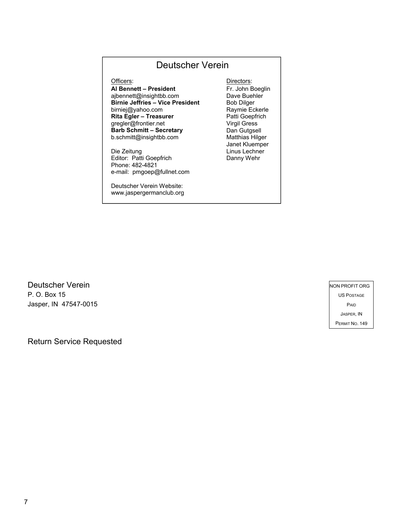#### Deutscher Verein

**Al Bennett – President** ajbennett@insightbb.com **Birnie Jeffries – Vice President** birniej@yahoo.com **Rita Egler – Treasurer** gregler@frontier.net **Barb Schmitt – Secretary** b.schmitt@insightbb.com

Die Zeitung Editor: Patti Goepfrich Phone: 482-4821 e-mail: pmgoep@fullnet.com

Deutscher Verein Website: www.jaspergermanclub.org

Officers: Directors: Fr. John Boeglin Dave Buehler Bob Dilger Raymie Eckerle Patti Goepfrich Virgil Gress Dan Gutgsell Matthias Hilger Janet Kluemper Linus Lechner Danny Wehr

Deutscher Verein P. O. Box 15 Jasper, IN 47547-0015

 NON PROFIT ORG US POSTAGE PAID JASPER, IN PERMIT NO. 149

Return Service Requested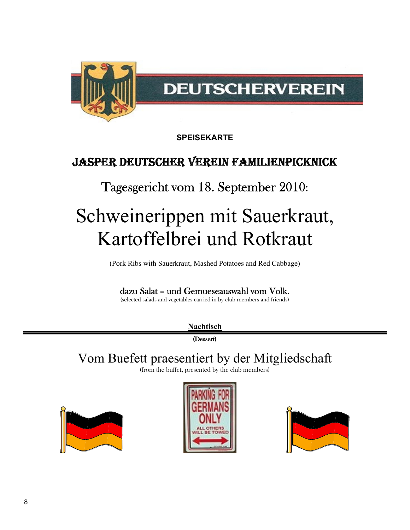

**SPEISEKARTE**

### Jasper Deutscher Verein Familienpicknick

### Tagesgericht vom 18. September 2010:

## Schweinerippen mit Sauerkraut, Kartoffelbrei und Rotkraut

(Pork Ribs with Sauerkraut, Mashed Potatoes and Red Cabbage)

#### dazu Salat – und Gemueseauswahl vom Volk.

(selected salads and vegetables carried in by club members and friends)

**Nachtisch**

(Dessert)

### Vom Buefett praesentiert by der Mitgliedschaft

(from the buffet, presented by the club members)





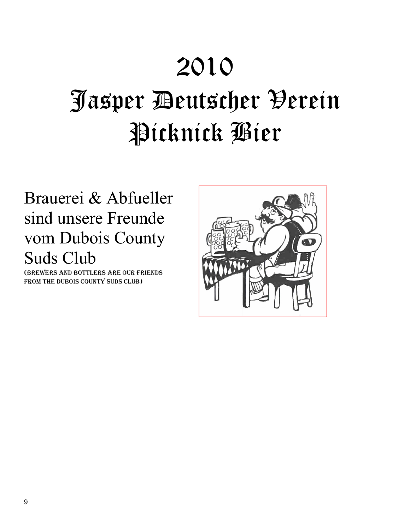## 2010

## Jasper Deutscher Verein Picknick Bier

## Brauerei & Abfueller sind unsere Freunde vom Dubois County Suds Club

(Brewers and Bottlers are our friends FROM THE DUBOIS COUNTY SUDS CLUB)